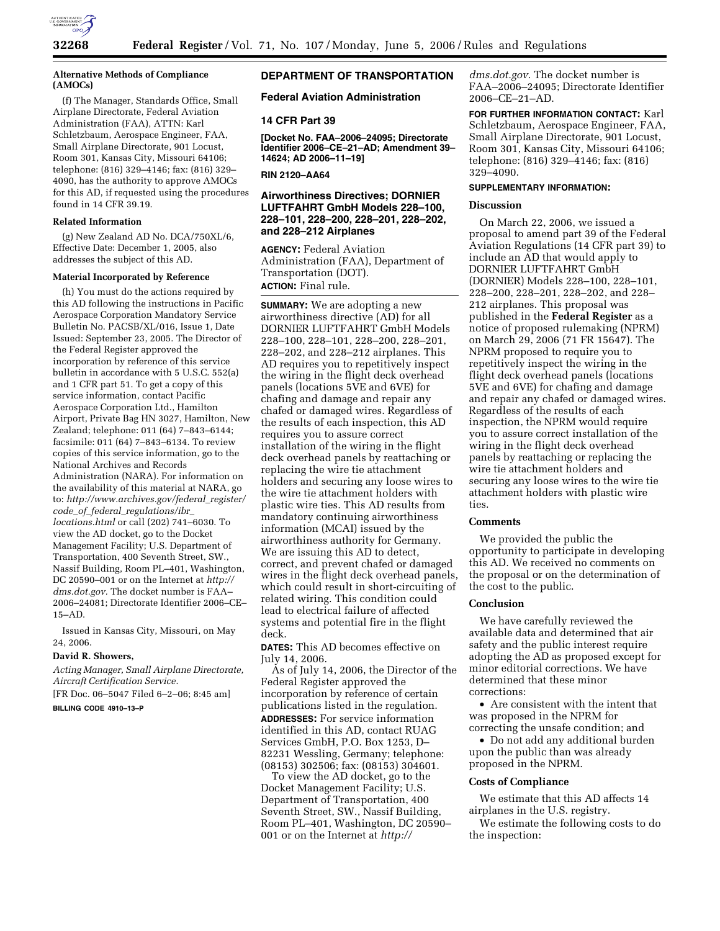

### **Alternative Methods of Compliance (AMOCs)**

(f) The Manager, Standards Office, Small Airplane Directorate, Federal Aviation Administration (FAA), ATTN: Karl Schletzbaum, Aerospace Engineer, FAA, Small Airplane Directorate, 901 Locust, Room 301, Kansas City, Missouri 64106; telephone: (816) 329–4146; fax: (816) 329– 4090, has the authority to approve AMOCs for this AD, if requested using the procedures found in 14 CFR 39.19.

#### **Related Information**

(g) New Zealand AD No. DCA/750XL/6, Effective Date: December 1, 2005, also addresses the subject of this AD.

### **Material Incorporated by Reference**

(h) You must do the actions required by this AD following the instructions in Pacific Aerospace Corporation Mandatory Service Bulletin No. PACSB/XL/016, Issue 1, Date Issued: September 23, 2005. The Director of the Federal Register approved the incorporation by reference of this service bulletin in accordance with 5 U.S.C. 552(a) and 1 CFR part 51. To get a copy of this service information, contact Pacific Aerospace Corporation Ltd., Hamilton Airport, Private Bag HN 3027, Hamilton, New Zealand; telephone: 011 (64) 7–843–6144; facsimile: 011 (64) 7–843–6134. To review copies of this service information, go to the National Archives and Records Administration (NARA). For information on the availability of this material at NARA, go to: *http://www.archives.gov/federal*\_*register/ code*\_*of*\_*federal*\_*regulations/ibr*\_ *locations.html* or call (202) 741–6030. To view the AD docket, go to the Docket Management Facility; U.S. Department of Transportation, 400 Seventh Street, SW., Nassif Building, Room PL–401, Washington, DC 20590–001 or on the Internet at *http:// dms.dot.gov.* The docket number is FAA– 2006–24081; Directorate Identifier 2006–CE– 15–AD.

Issued in Kansas City, Missouri, on May 24, 2006.

#### **David R. Showers,**

*Acting Manager, Small Airplane Directorate, Aircraft Certification Service.* 

[FR Doc. 06–5047 Filed 6–2–06; 8:45 am]

# **BILLING CODE 4910–13–P**

# **DEPARTMENT OF TRANSPORTATION**

# **Federal Aviation Administration**

### **14 CFR Part 39**

**[Docket No. FAA–2006–24095; Directorate Identifier 2006–CE–21–AD; Amendment 39– 14624; AD 2006–11–19]** 

### **RIN 2120–AA64**

# **Airworthiness Directives; DORNIER LUFTFAHRT GmbH Models 228–100, 228–101, 228–200, 228–201, 228–202, and 228–212 Airplanes**

**AGENCY:** Federal Aviation Administration (FAA), Department of Transportation (DOT). **ACTION:** Final rule.

**SUMMARY:** We are adopting a new airworthiness directive (AD) for all DORNIER LUFTFAHRT GmbH Models 228–100, 228–101, 228–200, 228–201, 228–202, and 228–212 airplanes. This AD requires you to repetitively inspect the wiring in the flight deck overhead panels (locations 5VE and 6VE) for chafing and damage and repair any chafed or damaged wires. Regardless of the results of each inspection, this AD requires you to assure correct installation of the wiring in the flight deck overhead panels by reattaching or replacing the wire tie attachment holders and securing any loose wires to the wire tie attachment holders with plastic wire ties. This AD results from mandatory continuing airworthiness information (MCAI) issued by the airworthiness authority for Germany. We are issuing this AD to detect, correct, and prevent chafed or damaged wires in the flight deck overhead panels, which could result in short-circuiting of related wiring. This condition could lead to electrical failure of affected systems and potential fire in the flight deck.

**DATES:** This AD becomes effective on July 14, 2006.

As of July 14, 2006, the Director of the Federal Register approved the incorporation by reference of certain publications listed in the regulation. **ADDRESSES:** For service information identified in this AD, contact RUAG Services GmbH, P.O. Box 1253, D– 82231 Wessling, Germany; telephone: (08153) 302506; fax: (08153) 304601.

To view the AD docket, go to the Docket Management Facility; U.S. Department of Transportation, 400 Seventh Street, SW., Nassif Building, Room PL–401, Washington, DC 20590– 001 or on the Internet at *http://* 

*dms.dot.gov.* The docket number is FAA–2006–24095; Directorate Identifier 2006–CE–21–AD.

**FOR FURTHER INFORMATION CONTACT:** Karl Schletzbaum, Aerospace Engineer, FAA, Small Airplane Directorate, 901 Locust, Room 301, Kansas City, Missouri 64106; telephone: (816) 329–4146; fax: (816) 329–4090.

### **SUPPLEMENTARY INFORMATION:**

# **Discussion**

On March 22, 2006, we issued a proposal to amend part 39 of the Federal Aviation Regulations (14 CFR part 39) to include an AD that would apply to DORNIER LUFTFAHRT GmbH (DORNIER) Models 228–100, 228–101, 228–200, 228–201, 228–202, and 228– 212 airplanes. This proposal was published in the **Federal Register** as a notice of proposed rulemaking (NPRM) on March 29, 2006 (71 FR 15647). The NPRM proposed to require you to repetitively inspect the wiring in the flight deck overhead panels (locations 5VE and 6VE) for chafing and damage and repair any chafed or damaged wires. Regardless of the results of each inspection, the NPRM would require you to assure correct installation of the wiring in the flight deck overhead panels by reattaching or replacing the wire tie attachment holders and securing any loose wires to the wire tie attachment holders with plastic wire ties.

# **Comments**

We provided the public the opportunity to participate in developing this AD. We received no comments on the proposal or on the determination of the cost to the public.

### **Conclusion**

We have carefully reviewed the available data and determined that air safety and the public interest require adopting the AD as proposed except for minor editorial corrections. We have determined that these minor corrections:

• Are consistent with the intent that was proposed in the NPRM for correcting the unsafe condition; and

• Do not add any additional burden upon the public than was already proposed in the NPRM.

### **Costs of Compliance**

We estimate that this AD affects 14 airplanes in the U.S. registry.

We estimate the following costs to do the inspection: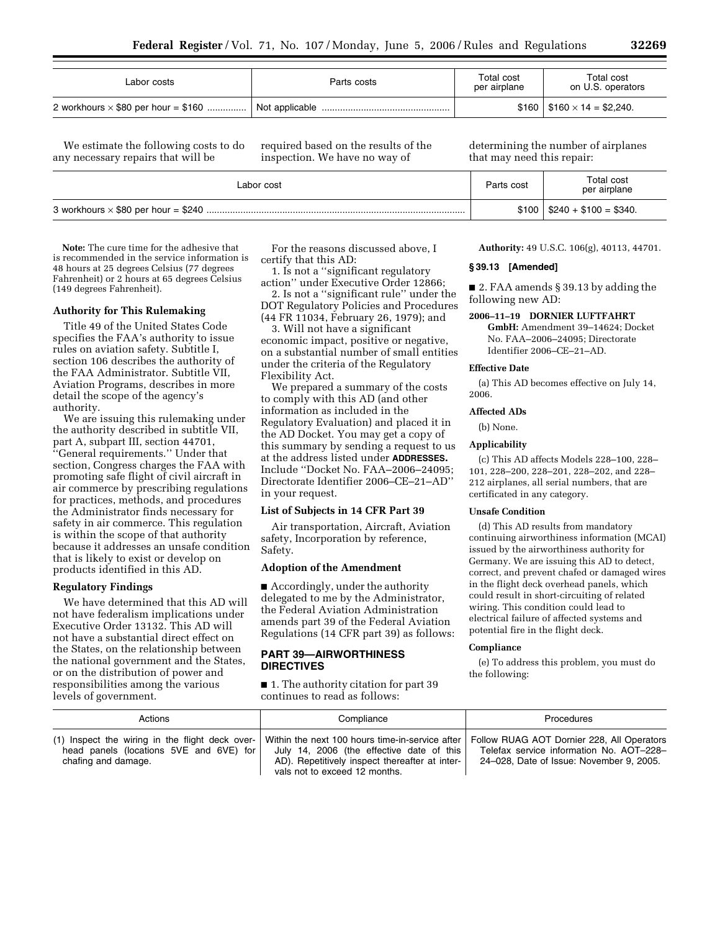| Labor costs                                | Parts costs | Total cost<br>per airplane | Total cost<br>on U.S. operators   |
|--------------------------------------------|-------------|----------------------------|-----------------------------------|
| 2 workhours $\times$ \$80 per hour = \$160 |             |                            | $$160   $160 \times 14 = $2,240.$ |

We estimate the following costs to do any necessary repairs that will be

required based on the results of the inspection. We have no way of

determining the number of airplanes that may need this repair:

| Labor cost | Parts cost | Total cost<br>per airplane   |
|------------|------------|------------------------------|
|            |            | $$100   $240 + $100 = $340.$ |

**Note:** The cure time for the adhesive that is recommended in the service information is 48 hours at 25 degrees Celsius (77 degrees Fahrenheit) or 2 hours at 65 degrees Celsius (149 degrees Fahrenheit).

### **Authority for This Rulemaking**

Title 49 of the United States Code specifies the FAA's authority to issue rules on aviation safety. Subtitle I, section 106 describes the authority of the FAA Administrator. Subtitle VII, Aviation Programs, describes in more detail the scope of the agency's authority.

We are issuing this rulemaking under the authority described in subtitle VII, part A, subpart III, section 44701, ''General requirements.'' Under that section, Congress charges the FAA with promoting safe flight of civil aircraft in air commerce by prescribing regulations for practices, methods, and procedures the Administrator finds necessary for safety in air commerce. This regulation is within the scope of that authority because it addresses an unsafe condition that is likely to exist or develop on products identified in this AD.

## **Regulatory Findings**

We have determined that this AD will not have federalism implications under Executive Order 13132. This AD will not have a substantial direct effect on the States, on the relationship between the national government and the States, or on the distribution of power and responsibilities among the various levels of government.

For the reasons discussed above, I certify that this AD:

1. Is not a ''significant regulatory action'' under Executive Order 12866;

2. Is not a ''significant rule'' under the DOT Regulatory Policies and Procedures (44 FR 11034, February 26, 1979); and

3. Will not have a significant

economic impact, positive or negative, on a substantial number of small entities under the criteria of the Regulatory Flexibility Act.

We prepared a summary of the costs to comply with this AD (and other information as included in the Regulatory Evaluation) and placed it in the AD Docket. You may get a copy of this summary by sending a request to us at the address listed under **ADDRESSES.**  Include ''Docket No. FAA–2006–24095; Directorate Identifier 2006–CE–21–AD'' in your request.

#### **List of Subjects in 14 CFR Part 39**

Air transportation, Aircraft, Aviation safety, Incorporation by reference, Safety.

### **Adoption of the Amendment**

■ Accordingly, under the authority delegated to me by the Administrator, the Federal Aviation Administration amends part 39 of the Federal Aviation Regulations (14 CFR part 39) as follows:

# **PART 39—AIRWORTHINESS DIRECTIVES**

■ 1. The authority citation for part 39 continues to read as follows:

**Authority:** 49 U.S.C. 106(g), 40113, 44701.

### **§ 39.13 [Amended]**

■ 2. FAA amends § 39.13 by adding the following new AD:

**2006–11–19 DORNIER LUFTFAHRT GmbH:** Amendment 39–14624; Docket No. FAA–2006–24095; Directorate Identifier 2006–CE–21–AD.

#### **Effective Date**

(a) This AD becomes effective on July 14, 2006.

### **Affected ADs**

(b) None.

# **Applicability**

(c) This AD affects Models 228–100, 228– 101, 228–200, 228–201, 228–202, and 228– 212 airplanes, all serial numbers, that are certificated in any category.

### **Unsafe Condition**

(d) This AD results from mandatory continuing airworthiness information (MCAI) issued by the airworthiness authority for Germany. We are issuing this AD to detect, correct, and prevent chafed or damaged wires in the flight deck overhead panels, which could result in short-circuiting of related wiring. This condition could lead to electrical failure of affected systems and potential fire in the flight deck.

### **Compliance**

(e) To address this problem, you must do the following:

| Actions                                                                                                           | Compliance                                                                                                                                                                        | <b>Procedures</b>                                                                                                                  |
|-------------------------------------------------------------------------------------------------------------------|-----------------------------------------------------------------------------------------------------------------------------------------------------------------------------------|------------------------------------------------------------------------------------------------------------------------------------|
| (1) Inspect the wiring in the flight deck over-<br>head panels (locations 5VE and 6VE) for<br>chafing and damage. | Within the next 100 hours time-in-service after  <br>July 14, 2006 (the effective date of this<br>AD). Repetitively inspect thereafter at inter-<br>vals not to exceed 12 months. | Follow RUAG AOT Dornier 228, All Operators<br>Telefax service information No. AOT-228-<br>24-028. Date of Issue: November 9, 2005. |